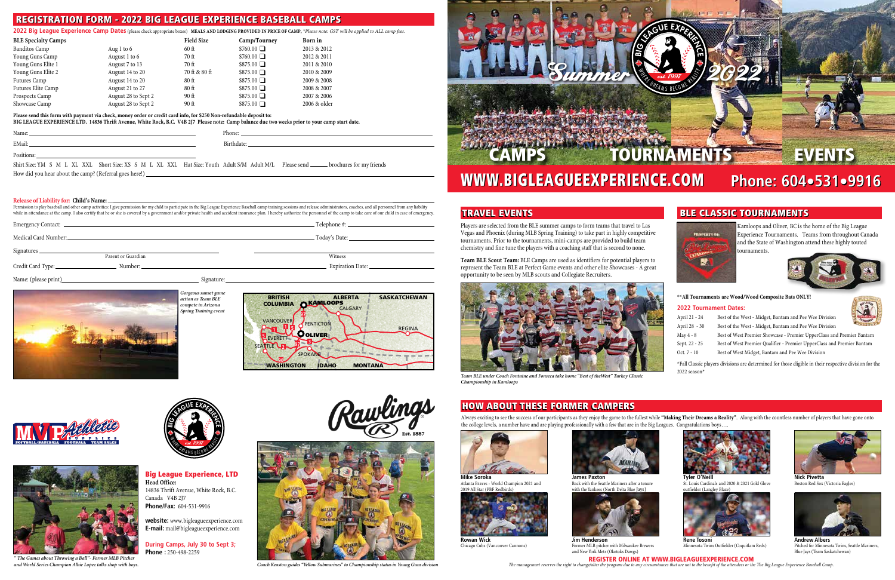

Always exciting to see the success of our participants as they enjoy the game to the fullest while **"Making Their Dreams a Reality"**. Along with the countless number of players that have gone onto the college levels, a number have and are playing professionally with a few that are in the Big Leagues. Congratulations boys.



# **BLE CLASSIC TOURNAMENTS**

**HOPERTY OF Maria Bara** N.

# WWW.BIGLEAGUEEXPERIENCE.COM **Phone: 604 Phone: 604•531•9916** WWW.BIGLEAGUEEXPERIENCE.COM

Players are selected from the BLE summer camps to form teams that travel to Las Vegas and Phoenix (during MLB Spring Training) to take part in highly competitive tournaments. Prior to the tournaments, mini-camps are provided to build team chemistry and fine tune the players with a coaching staff that is second to none.



**Team BLE Scout Team:** BLE Camps are used as identifiers for potential players to represent the Team BLE at Perfect Game events and other elite Showcases - A great opportunity to be seen by MLB scouts and Collegiate Recruiters.

> \*Fall Classic players divisions are determined for those eligible in their respective division for the 2022 season\*











**website:** www.bigleagueexperience.com **E-mail:** mail@bigleagueexperience.com

**During Camps, July 30 to Sept 3; Phone :** 250-498-2259



# TRAVEL EVENTS



*Coach Keaston guides "Yellow Submarines" to Championship status in Young Guns division*

*" The Games about Throwing a Ball"- Former MLB Pitcher and World Series Champion Albie Lopez talks shop with boys.*



*Team BLE under Coach Fontaine and Fonseca take home "Best of theWest" Turkey Classic Championship in Kamloops*

# HOW ABOUT THESE FORMER CAMPERS



E

Kamloops and Oliver, BC is the home of the Big League Experience Tournaments. Teams from throughout Canada and the State of Washington attend these highly touted tournaments.



#### **\*\*All Tournaments are Wood/Wood Composite Bats ONLY!**

#### **2022 Tournament Dates:**

| April 21 - 24 | Best of the West - Midget, Bantam and Pee Wee Division                 |
|---------------|------------------------------------------------------------------------|
| April 28 - 30 | Best of the West - Midget, Bantam and Pee Wee Division                 |
| May 4 - 8     | Best of West Premier Showcase - Premier UpperClass and Premier Bantam  |
| Sept. 22 - 25 | Best of West Premier Qualifier - Premier UpperClass and Premier Bantam |
| Oct. $7 - 10$ | Best of West Midget, Bantam and Pee Wee Division                       |
|               |                                                                        |



**Mike Soroka** Atlanta Braves - World Champion 2021 and 2019 All Star (PBF Redbirds)



**Rowan Wick** Chicago Cubs (Vancouver Cannons)

**James Paxton** 

Back with the Seattle Mariners after a tenure with the Yankees (North Delta Blue Jays)



**Jim Henderson** Former MLB pitcher with Milwaukee Brewers and New York Mets (Okotoks Dawgs)

**Tyler O'Neill** St. Louis Cardinals and 2020 & 2021 Gold Glove outfielder (Langley Blaze)



**Rene Tosoni** Minnesota Twins Outfielder (Coquitlam Reds)



**Nick Pivetta** Boston Red Sox (Victoria Eagles)



**Andrew Albers** Pitched for Minnesota Twins, Seattle Mariners, Blue Jays (Team Saskatchewan)



# REGISTRATION FORM - 2022 BIG LEAGUE EXPERIENCE BASEBALL CAMPS

**2022 Big League Experience Camp Dates** (please check appropriate boxes) **MEALS AND LODGING PROVIDED IN PRICE OF CAMP,** *\*Please note: GST will be applied to ALL camp fees.*

| <b>BLE Specialty Camps</b> |                     | <b>Field Size</b> | Camp/Tourney     | Born in      |
|----------------------------|---------------------|-------------------|------------------|--------------|
| Banditos Camp              | Aug 1 to $6$        | $60$ ft           | $$760.00$ $\Box$ | 2013 & 2012  |
| Young Guns Camp            | August 1 to 6       | 70 ft             | $$760.00$ $\Box$ | 2012 & 2011  |
| Young Guns Elite 1         | August 7 to 13      | 70 ft             | $$875.00$ $\Box$ | 2011 & 2010  |
| Young Guns Elite 2         | August 14 to 20     | 70 ft & 80 ft     | $$875.00$ $\Box$ | 2010 & 2009  |
| Futures Camp               | August 14 to 20     | $80$ ft           | $$875.00$ $\Box$ | 2009 & 2008  |
| Futures Elite Camp         | August 21 to 27     | $80$ ft           | $$875.00$ $\Box$ | 2008 & 2007  |
| Prospects Camp             | August 28 to Sept 2 | $90$ ft           | $$875.00$ $\Box$ | 2007 & 2006  |
| Showcase Camp              | August 28 to Sept 2 | $90$ ft           | $$875.00$ $\Box$ | 2006 & older |

#### **Please send this form with payment via check, money order or credit card info, for \$250 Non-refundable deposit to:**

**BIG LEAGUE EXPERIENCE LTD. 14836 Thrift Avenue, White Rock, B.C. V4B 2J7 Please note: Camp balance due two weeks prior to your camp start date.**

| Name |  |  |
|------|--|--|
|      |  |  |

| Name:  | $$ VIIC. |
|--------|----------|
| EMail: |          |

Positions:

Shirt Size: YM S M L XL XXL Short Size: XS S M L XL XXL Hat Size: Youth Adult S/M Adult M/L Please send \_\_\_\_\_\_ brochures for my friends

How did you hear about the camp? (Referral goes here!)

#### **Release of Liability for: Child's Name:**

Permission to play baseball and other camp activities: I give permission for my child to participate in the Big League Experience Baseball camp training sessions and release administrators, coaches, and all personnel from while in attendance at the camp. I also certify that he or she is covered by a government and/or private health and accident insurance plan. I hereby authorize the personnel of the camp to take care of our child in case of

|                                           | Telephone #: _______ |
|-------------------------------------------|----------------------|
| Medical Card Number:                      | Today's Date:        |
| Signatures_                               |                      |
| Parent or Guardian                        | Witness              |
| Credit Card Type:<br>Number: ____________ | Expiration Date:     |
|                                           |                      |

Name: (please print) Signature: